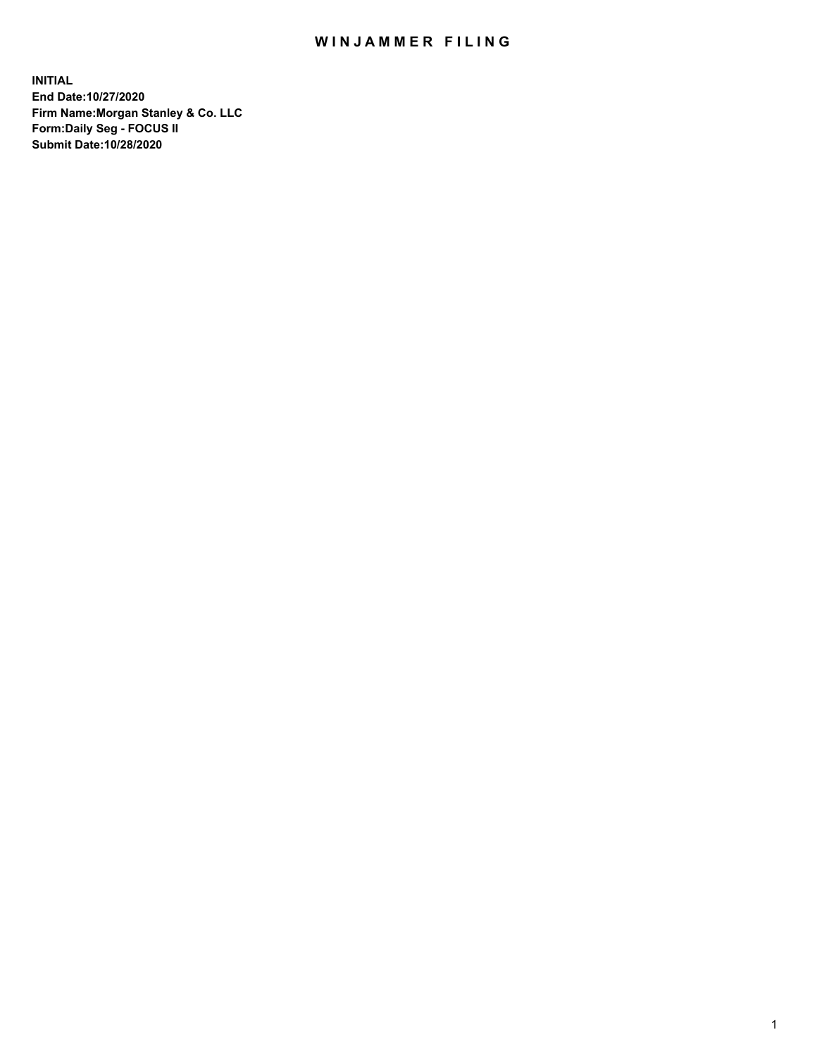## WIN JAMMER FILING

**INITIAL End Date:10/27/2020 Firm Name:Morgan Stanley & Co. LLC Form:Daily Seg - FOCUS II Submit Date:10/28/2020**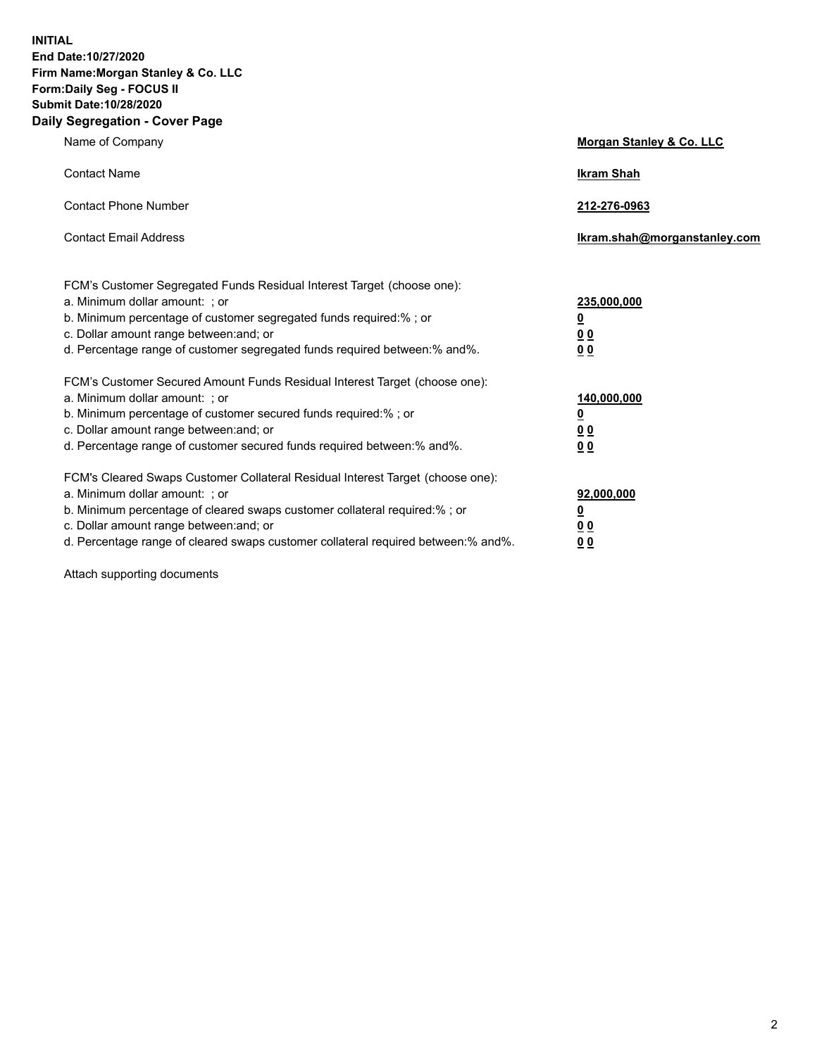**INITIAL End Date:10/27/2020 Firm Name:Morgan Stanley & Co. LLC Form:Daily Seg - FOCUS II Submit Date:10/28/2020 Daily Segregation - Cover Page**

| Name of Company                                                                   | Morgan Stanley & Co. LLC     |
|-----------------------------------------------------------------------------------|------------------------------|
| <b>Contact Name</b>                                                               | <b>Ikram Shah</b>            |
| <b>Contact Phone Number</b>                                                       | 212-276-0963                 |
| <b>Contact Email Address</b>                                                      | Ikram.shah@morganstanley.com |
| FCM's Customer Segregated Funds Residual Interest Target (choose one):            |                              |
| a. Minimum dollar amount: ; or                                                    | 235,000,000                  |
| b. Minimum percentage of customer segregated funds required:%; or                 | <u>0</u>                     |
| c. Dollar amount range between: and; or                                           | 0 <sub>0</sub>               |
| d. Percentage range of customer segregated funds required between: % and %.       | 0 <sub>0</sub>               |
| FCM's Customer Secured Amount Funds Residual Interest Target (choose one):        |                              |
| a. Minimum dollar amount: ; or                                                    | 140,000,000                  |
| b. Minimum percentage of customer secured funds required:%; or                    | <u>0</u>                     |
| c. Dollar amount range between: and; or                                           | <u>00</u>                    |
| d. Percentage range of customer secured funds required between:% and%.            | 0 <sub>0</sub>               |
| FCM's Cleared Swaps Customer Collateral Residual Interest Target (choose one):    |                              |
| a. Minimum dollar amount: ; or                                                    | 92,000,000                   |
| b. Minimum percentage of cleared swaps customer collateral required:% ; or        | <u>0</u>                     |
| c. Dollar amount range between: and; or                                           | <u>00</u>                    |
| d. Percentage range of cleared swaps customer collateral required between:% and%. | 00                           |

Attach supporting documents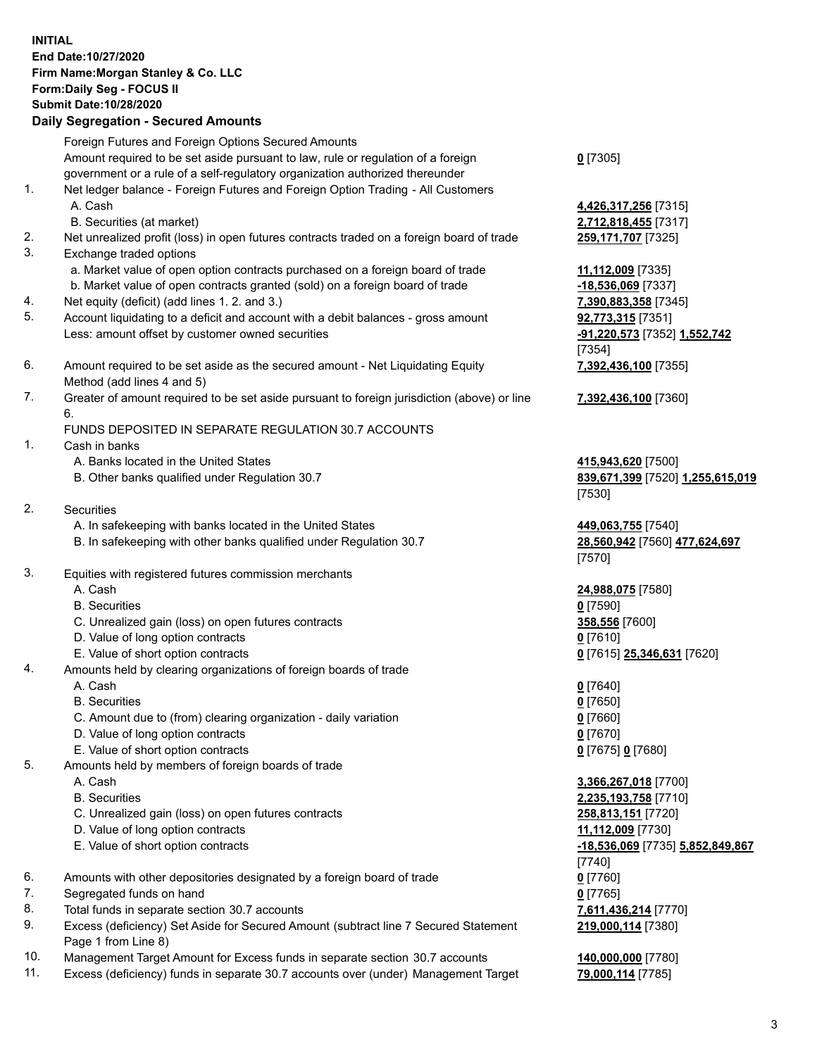## **INITIAL End Date:10/27/2020 Firm Name:Morgan Stanley & Co. LLC Form:Daily Seg - FOCUS II Submit Date:10/28/2020 Daily Segregation - Secured Amounts**

Foreign Futures and Foreign Options Secured Amounts Amount required to be set aside pursuant to law, rule or regulation of a foreign government or a rule of a self-regulatory organization authorized thereunder 1. Net ledger balance - Foreign Futures and Foreign Option Trading - All Customers A. Cash **4,426,317,256** [7315] B. Securities (at market) **2,712,818,455** [7317] 2. Net unrealized profit (loss) in open futures contracts traded on a foreign board of trade **259,171,707** [7325] 3. Exchange traded options a. Market value of open option contracts purchased on a foreign board of trade **11,112,009** [7335] b. Market value of open contracts granted (sold) on a foreign board of trade **-18,536,069** [7337] 4. Net equity (deficit) (add lines 1. 2. and 3.) **7,390,883,358** [7345] 5. Account liquidating to a deficit and account with a debit balances - gross amount **92,773,315** [7351] Less: amount offset by customer owned securities **-91,220,573** [7352] **1,552,742** 6. Amount required to be set aside as the secured amount - Net Liquidating Equity Method (add lines 4 and 5) 7. Greater of amount required to be set aside pursuant to foreign jurisdiction (above) or line 6. FUNDS DEPOSITED IN SEPARATE REGULATION 30.7 ACCOUNTS

- 1. Cash in banks
	- A. Banks located in the United States **415,943,620** [7500]
	- B. Other banks qualified under Regulation 30.7 **839,671,399** [7520] **1,255,615,019**
- 2. Securities
	- A. In safekeeping with banks located in the United States **449,063,755** [7540]
	- B. In safekeeping with other banks qualified under Regulation 30.7 **28,560,942** [7560] **477,624,697**
- 3. Equities with registered futures commission merchants
	-
	- B. Securities **0** [7590]
	- C. Unrealized gain (loss) on open futures contracts **358,556** [7600]
	- D. Value of long option contracts **0** [7610]
	- E. Value of short option contracts **0** [7615] **25,346,631** [7620]
- 4. Amounts held by clearing organizations of foreign boards of trade
	-
	- B. Securities **0** [7650]
	- C. Amount due to (from) clearing organization daily variation **0** [7660]
	- D. Value of long option contracts **0** [7670]
	- E. Value of short option contracts **0** [7675] **0** [7680]
- 5. Amounts held by members of foreign boards of trade
	-
	-
	- C. Unrealized gain (loss) on open futures contracts **258,813,151** [7720]
	- D. Value of long option contracts **11,112,009** [7730]
	-
- 6. Amounts with other depositories designated by a foreign board of trade **0** [7760]
- 7. Segregated funds on hand **0** [7765]
- 8. Total funds in separate section 30.7 accounts **7,611,436,214** [7770]
- 9. Excess (deficiency) Set Aside for Secured Amount (subtract line 7 Secured Statement Page 1 from Line 8)
- 10. Management Target Amount for Excess funds in separate section 30.7 accounts **140,000,000** [7780]
- 11. Excess (deficiency) funds in separate 30.7 accounts over (under) Management Target **79,000,114** [7785]

**0** [7305]

[7354] **7,392,436,100** [7355]

**7,392,436,100** [7360]

[7530]

[7570]

A. Cash **24,988,075** [7580]

A. Cash **0** [7640]

 A. Cash **3,366,267,018** [7700] B. Securities **2,235,193,758** [7710] E. Value of short option contracts **-18,536,069** [7735] **5,852,849,867** [7740] **219,000,114** [7380]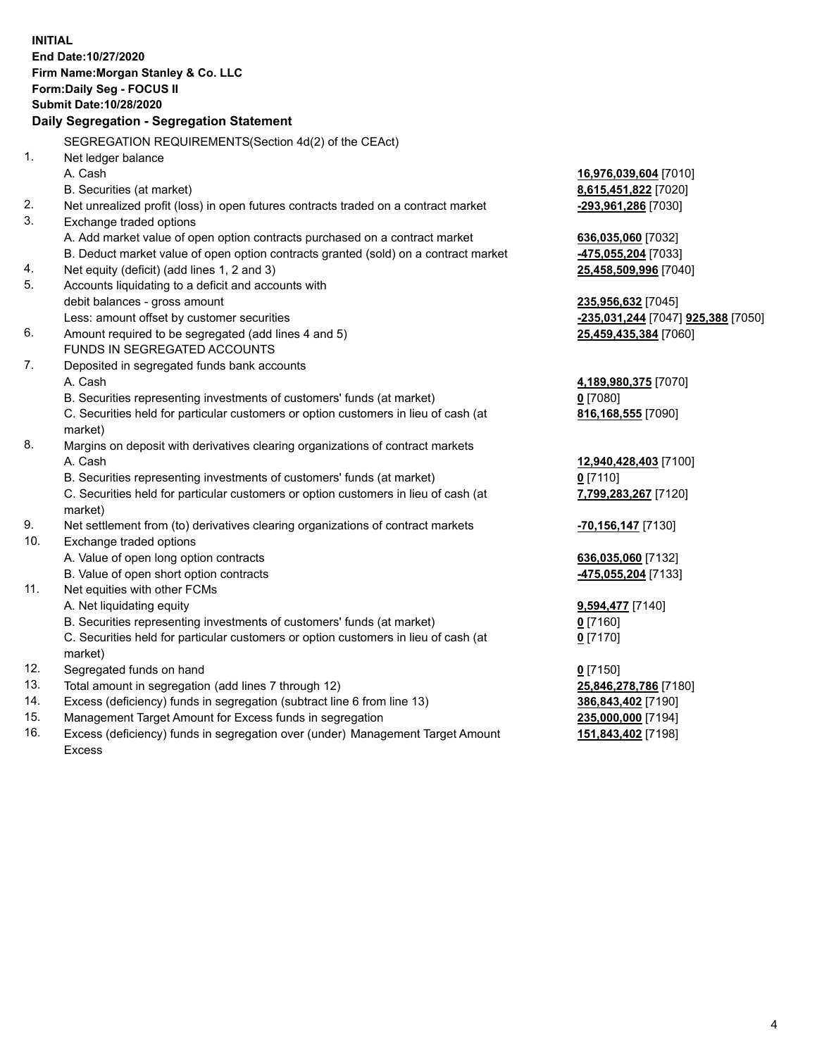|     | <b>INITIAL</b><br>End Date:10/27/2020<br>Firm Name: Morgan Stanley & Co. LLC<br>Form: Daily Seg - FOCUS II<br><b>Submit Date: 10/28/2020</b><br>Daily Segregation - Segregation Statement |                                    |
|-----|-------------------------------------------------------------------------------------------------------------------------------------------------------------------------------------------|------------------------------------|
|     | SEGREGATION REQUIREMENTS(Section 4d(2) of the CEAct)                                                                                                                                      |                                    |
| 1.  | Net ledger balance                                                                                                                                                                        |                                    |
|     | A. Cash                                                                                                                                                                                   | 16,976,039,604 [7010]              |
|     | B. Securities (at market)                                                                                                                                                                 | 8,615,451,822 [7020]               |
| 2.  | Net unrealized profit (loss) in open futures contracts traded on a contract market                                                                                                        | -293,961,286 [7030]                |
| 3.  | Exchange traded options                                                                                                                                                                   |                                    |
|     | A. Add market value of open option contracts purchased on a contract market                                                                                                               | 636,035,060 [7032]                 |
|     | B. Deduct market value of open option contracts granted (sold) on a contract market                                                                                                       | -475,055,204 [7033]                |
| 4.  | Net equity (deficit) (add lines 1, 2 and 3)                                                                                                                                               | 25,458,509,996 [7040]              |
| 5.  | Accounts liquidating to a deficit and accounts with                                                                                                                                       |                                    |
|     | debit balances - gross amount                                                                                                                                                             | 235,956,632 [7045]                 |
|     | Less: amount offset by customer securities                                                                                                                                                | -235,031,244 [7047] 925,388 [7050] |
| 6.  | Amount required to be segregated (add lines 4 and 5)                                                                                                                                      | 25,459,435,384 [7060]              |
|     | FUNDS IN SEGREGATED ACCOUNTS                                                                                                                                                              |                                    |
| 7.  | Deposited in segregated funds bank accounts                                                                                                                                               |                                    |
|     | A. Cash                                                                                                                                                                                   | 4,189,980,375 [7070]               |
|     | B. Securities representing investments of customers' funds (at market)                                                                                                                    | $0$ [7080]                         |
|     | C. Securities held for particular customers or option customers in lieu of cash (at                                                                                                       | 816,168,555 [7090]                 |
|     | market)                                                                                                                                                                                   |                                    |
| 8.  | Margins on deposit with derivatives clearing organizations of contract markets                                                                                                            |                                    |
|     | A. Cash                                                                                                                                                                                   | 12,940,428,403 [7100]              |
|     | B. Securities representing investments of customers' funds (at market)                                                                                                                    | $0$ [7110]                         |
|     | C. Securities held for particular customers or option customers in lieu of cash (at<br>market)                                                                                            | 7,799,283,267 [7120]               |
| 9.  | Net settlement from (to) derivatives clearing organizations of contract markets                                                                                                           | <mark>-70,156,147</mark> [7130]    |
| 10. | Exchange traded options                                                                                                                                                                   |                                    |
|     | A. Value of open long option contracts                                                                                                                                                    | 636,035,060 [7132]                 |
|     | B. Value of open short option contracts                                                                                                                                                   | -475,055,204 [7133]                |
| 11. | Net equities with other FCMs                                                                                                                                                              |                                    |
|     | A. Net liquidating equity                                                                                                                                                                 | 9,594,477 [7140]                   |
|     | B. Securities representing investments of customers' funds (at market)                                                                                                                    | $0$ [7160]                         |
|     | C. Securities held for particular customers or option customers in lieu of cash (at<br>market)                                                                                            | $0$ [7170]                         |
| 12. | Segregated funds on hand                                                                                                                                                                  | $0$ [7150]                         |
| 13. | Total amount in segregation (add lines 7 through 12)                                                                                                                                      | 25,846,278,786 [7180]              |
| 14. | Excess (deficiency) funds in segregation (subtract line 6 from line 13)                                                                                                                   | 386,843,402 [7190]                 |
| 15. | Management Target Amount for Excess funds in segregation                                                                                                                                  | 235,000,000 [7194]                 |
| 16. | Excess (deficiency) funds in segregation over (under) Management Target Amount                                                                                                            | 151,843,402 [7198]                 |
|     |                                                                                                                                                                                           |                                    |

Excess